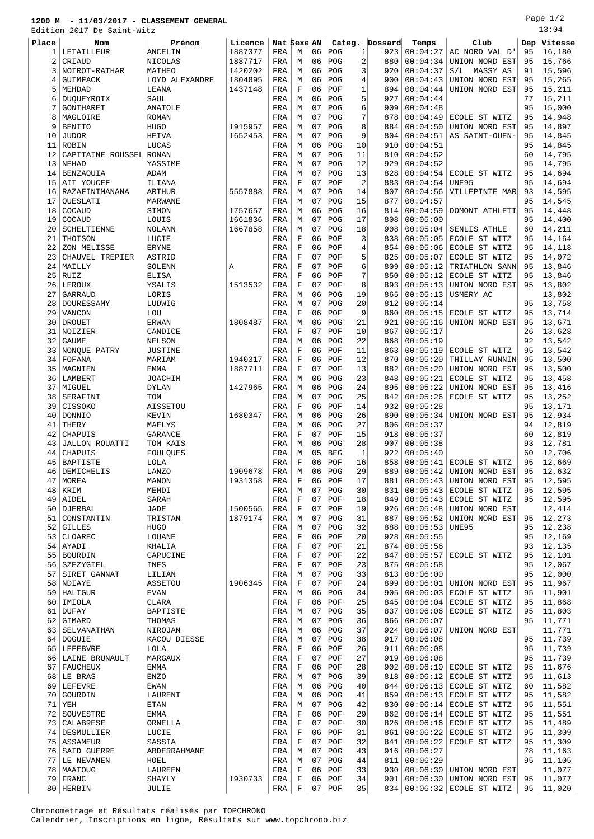## **1200 M - 11/03/2017 - CLASSEMENT GENERAL**

Edition 2017 De Saint-Witz

| ⊔ט⊥∪⊥ש   | $\sim$ $\sim$ $\sim$ $\sim$<br>pairc |                          |         |            |                  |          |            |                      |            |                      |                                           |          |                  |
|----------|--------------------------------------|--------------------------|---------|------------|------------------|----------|------------|----------------------|------------|----------------------|-------------------------------------------|----------|------------------|
| Place    | Nom                                  | Prénom                   | Licence |            | Nat Sexe AN      |          | Categ.     |                      | Dossard    | Temps                | Club                                      | Dep      | Vitesse          |
| 1        | LETAILLEUR                           | ANCELIN                  | 1887377 | FRA        | M                | 06       | POG        | $\mathbf{1}$         | 923        | 00:04:27             | AC NORD VAL D'                            | 95       | 16,180           |
| 2        | CRIAUD                               | NICOLAS                  | 1887717 | FRA        | М                | 06       | POG        | 2                    | 880        | 00:04:34             | UNION NORD EST                            | 95       | 15,766           |
| 3        | NOIROT-RATHAR                        | MATHEO                   | 1420202 | FRA        | М                | 06       | POG        | 3                    | 920        | 00:04:37             | S/L MASSY AS                              | 91       | 15,596           |
| 4        | GUIMFACK                             | LOYD ALEXANDRE           | 1804895 | FRA        | М                | 06<br>06 | POG        | 4                    | 900        | 00:04:43             | UNION NORD EST                            | 95<br>95 | 15,265<br>15,211 |
| 5<br>6   | MEHDAD<br>DUOUEYROIX                 | LEANA<br>SAUL            | 1437148 | FRA<br>FRA | $\mathbf F$<br>М | 06       | POF<br>POG | 1<br>5               | 894<br>927 | 00:04:44<br>00:04:44 | UNION NORD EST                            | 77       | 15,211           |
| 7        | <b>GONTHARET</b>                     | ANATOLE                  |         | FRA        | М                | 07       | POG        | 6                    | 909        | 00:04:48             |                                           | 95       | 15,000           |
| 8        | MAGLOIRE                             | <b>ROMAN</b>             |         | FRA        | М                | 07       | POG        | 7                    | 878        | 00:04:49             | ECOLE ST WITZ                             | 95       | 14,948           |
| 9        | <b>BENITO</b>                        | <b>HUGO</b>              | 1915957 | FRA        | M                | 07       | POG        | 8                    | 884        | 00:04:50             | UNION NORD EST                            | 95       | 14,897           |
| 10       | <b>JUDOR</b>                         | HEIVA                    | 1652453 | FRA        | М                | 07       | POG        | 9                    | 804        | 00:04:51             | AS SAINT-OUEN-                            | 95       | 14,845           |
| 11       | ROBIN                                | LUCAS                    |         | FRA        | М                | 06       | POG        | 10                   | 910        | 00:04:51             |                                           | 95       | 14,845           |
| 12       | CAPITAINE ROUSSEL RONAN              |                          |         | FRA        | М                | 07       | POG        | 11                   | 810        | 00:04:52             |                                           | 60       | 14,795           |
| 13       | NEHAD                                | YASSIME                  |         | FRA        | М                | 07       | POG        | 12                   | 929        | 00:04:52             |                                           | 95       | 14,795           |
| 14       | BENZAOUIA                            | ADAM                     |         | FRA        | М                | 07       | POG        | 13                   | 828        | 00:04:54             | ECOLE ST WITZ                             | 95       | 14,694           |
| 15       | AIT YOUCEF                           | ILIANA                   |         | FRA        | F                | 07<br>07 | POF<br>POG | $\overline{2}$<br>14 | 883        | 00:04:54             | <b>UNE95</b>                              | 95       | 14,694           |
| 16<br>17 | RAZAFINIMANANA<br>OUESLATI           | <b>ARTHUR</b><br>MARWANE | 5557888 | FRA<br>FRA | М<br>М           | 07       | POG        | 15                   | 807<br>877 | 00:04:56<br>00:04:57 | VILLEPINTE MAR.                           | 93<br>95 | 14,595<br>14,545 |
| 18       | COCAUD                               | SIMON                    | 1757657 | FRA        | М                | 06       | POG        | 16                   | 814        | 00:04:59             | DOMONT ATHLETI                            | 95       | 14,448           |
| 19       | COCAUD                               | LOUIS                    | 1661836 | FRA        | М                | 07       | POG        | 17                   | 808        | 00:05:00             |                                           | 95       | 14,400           |
| 20       | <b>SCHELTIENNE</b>                   | <b>NOLANN</b>            | 1667858 | FRA        | М                | 07       | POG        | 18                   | 908        | 00:05:04             | SENLIS ATHLE                              | 60       | 14,211           |
| 21       | THOISON                              | LUCIE                    |         | FRA        | $\mathbf F$      | 06       | POF        | 3                    | 838        | 00:05:05             | ECOLE ST WITZ                             | 95       | 14,164           |
| 22       | ZON MELISSE                          | <b>ERYNE</b>             |         | FRA        | $\mathbf F$      | 06       | POF        | 4                    | 854        | 00:05:06             | ECOLE ST WITZ                             | 95       | 14,118           |
| 23       | CHAUVEL TREPIER                      | ASTRID                   |         | FRA        | F                | 07       | POF        | 5                    | 825        | 00:05:07             | ECOLE ST WITZ                             | 95       | 14,072           |
| 24       | MAILLY                               | SOLENN                   | Α       | FRA        | $\mathbf F$      | 07       | POF        | 6                    | 809        | 00:05:12             | TRIATHLON SANN                            | 95       | 13,846           |
| 25       | RUIZ                                 | <b>ELISA</b>             |         | FRA        | $\mathbf F$      | 06       | POF        | 7                    | 850        | 00:05:12             | ECOLE ST WITZ                             | 95       | 13,846           |
| 26       | LEROUX<br>GARRAUD                    | YSALIS                   | 1513532 | FRA        | F                | 07<br>06 | POF        | 8                    | 893        | 00:05:13             | UNION NORD EST                            | 95       | 13,802           |
| 27<br>28 | DOURESSAMY                           | LORIS<br>LUDWIG          |         | FRA<br>FRA | М<br>М           | 07       | POG<br>POG | 19<br>20             | 865<br>812 | 00:05:13<br>00:05:14 | USMERY AC                                 | 95       | 13,802<br>13,758 |
| 29       | VANCON                               | LOU                      |         | FRA        | $\mathbf F$      | 06       | POF        | 9                    | 860        | 00:05:15             | ECOLE ST WITZ                             | 95       | 13,714           |
| 30       | <b>DROUET</b>                        | <b>ERWAN</b>             | 1808487 | FRA        | М                | 06       | POG        | 21                   | 921        | 00:05:16             | UNION NORD EST                            | 95       | 13,671           |
| 31       | NOIZIER                              | CANDICE                  |         | FRA        | $\mathbf F$      | 07       | POF        | 10                   | 867        | 00:05:17             |                                           | 26       | 13,628           |
| 32       | <b>GAUME</b>                         | NELSON                   |         | FRA        | М                | 06       | POG        | 22                   | 868        | 00:05:19             |                                           | 92       | 13,542           |
| 33       | NONQUE PATRY                         | <b>JUSTINE</b>           |         | FRA        | F                | 06       | POF        | 11                   | 863        | 00:05:19             | ECOLE ST WITZ                             | 95       | 13,542           |
| 34       | FOFANA                               | MARIAM                   | 1940317 | FRA        | $\mathbf F$      | 06       | POF        | 12                   | 870        | 00:05:20             | THILLAY RUNNIN                            | 95       | 13,500           |
| 35       | MAGNIEN                              | EMMA                     | 1887711 | FRA        | $\mathbf F$      | 07       | POF        | 13                   | 882        | 00:05:20             | UNION NORD EST                            | 95       | 13,500           |
| 36       | LAMBERT                              | <b>JOACHIM</b>           |         | FRA        | М                | 06       | POG        | 23                   | 848        | 00:05:21             | ECOLE ST WITZ                             | 95       | 13,458           |
| 37<br>38 | MIGUEL<br>SERAFINI                   | <b>DYLAN</b><br>TOM      | 1427965 | FRA<br>FRA | М<br>М           | 06<br>07 | POG<br>POG | 24<br>25             | 895<br>842 | 00:05:22<br>00:05:26 | UNION NORD EST<br>ECOLE ST WITZ           | 95<br>95 | 13,416<br>13,252 |
| 39       | CISSOKO                              | AISSETOU                 |         | FRA        | F                | 06       | POF        | 14                   | 932        | 00:05:28             |                                           | 95       | 13,171           |
| 40       | <b>DONNIO</b>                        | KEVIN                    | 1680347 | FRA        | М                | 06       | POG        | 26                   | 890        | 00:05:34             | UNION NORD EST                            | 95       | 12,934           |
| 41       | THERY                                | MAELYS                   |         | FRA        | М                | 06       | POG        | 27                   | 806        | 00:05:37             |                                           | 94       | 12,819           |
| 42       | CHAPUIS                              | <b>GARANCE</b>           |         | FRA        | F                | 07       | POF        | 15                   | 918        | 00:05:37             |                                           | 60       | 12,819           |
| 43       | <b>JALLON ROUATTI</b>                | TOM KAIS                 |         | FRA        | М                | 06       | POG        | 28                   | 907        | 00:05:38             |                                           | 93       | 12,781           |
| 44       | CHAPUIS                              | FOULQUES                 |         | FRA        | М                | 05       | <b>BEG</b> | 1                    | 922        | 00:05:40             |                                           | 60       | 12,706           |
| 45       | BAPTISTE                             | LOLA                     |         | FRA        | F                | 06       | POF        | 16                   | 858        | 00:05:41             | ECOLE ST WITZ                             | 95       | 12,669           |
| 46       | DEMICHELIS                           | LANZO                    | 1909678 | FRA        | М                | 06       | POG        | 29                   | 889        | 00:05:42             | UNION NORD EST                            | 95       | 12,632           |
| 47<br>48 | MOREA                                | MANON<br>MEHDI           | 1931358 | FRA<br>FRA | F<br>М           | 06<br>07 | POF<br>POG | 17<br>30             | 881<br>831 | 00:05:43<br>00:05:43 | UNION NORD EST<br>ECOLE ST WITZ           | 95<br>95 | 12,595<br>12,595 |
| 49       | KRIM<br>AIDEL                        | SARAH                    |         | FRA        | F                | 07       | POF        | 18                   | 849        | 00:05:43             | ECOLE ST WITZ                             | 95       | 12,595           |
| 50       | DJERBAL                              | JADE                     | 1500565 | FRA        | $\mathbf F$      | 07       | POF        | 19                   | 926        | 00:05:48             | UNION NORD EST                            |          | 12,414           |
| 51       | CONSTANTIN                           | TRISTAN                  | 1879174 | FRA        | М                | 07       | POG        | 31                   | 887        | 00:05:52             | UNION NORD EST                            | 95       | 12,273           |
|          | 52 GILLES                            | HUGO                     |         | FRA        | М                | 07       | POG        | 32                   | 888        | 00:05:53             | UNE95                                     | 95       | 12,238           |
| 53       | CLOAREC                              | LOUANE                   |         | FRA        | F                | 06       | POF        | 20                   | 928        | 00:05:55             |                                           | 95       | 12,169           |
|          | 54   AYADI                           | KHALIA                   |         | FRA        | F                | 07       | POF        | 21                   | 874        | 00:05:56             |                                           | 93       | 12,135           |
|          | 55 BOURDIN                           | CAPUCINE                 |         | FRA        | F                | 07       | POF        | 22                   | 847        | 00:05:57             | ECOLE ST WITZ                             | 95       | 12,101           |
|          | 56   SZEZYGIEL                       | INES                     |         | FRA        | F                | 07       | POF        | 23                   | 875        | 00:05:58             |                                           | 95       | 12,067           |
| 58       | 57 SIRET GANNAT<br>NDIAYE            | LILIAN<br>ASSETOU        | 1906345 | FRA<br>FRA | М<br>F           | 07<br>07 | POG<br>POF | 33<br>24             | 813<br>899 | 00:06:00<br>00:06:01 | UNION NORD EST                            | 95<br>95 | 12,000<br>11,967 |
|          | 59 HALIGUR                           | EVAN                     |         | FRA        | М                | 06       | POG        | 34                   | 905        | 00:06:03             | ECOLE ST WITZ                             | 95       | 11,901           |
| 60       | IMIOLA                               | CLARA                    |         | FRA        | F                | 06       | POF        | 25                   | 845        | 00:06:04             | ECOLE ST WITZ                             | 95       | 11,868           |
| 61       | DUFAY                                | BAPTISTE                 |         | FRA        | М                | 07       | POG        | 35                   | 837        | 00:06:06             | ECOLE ST WITZ                             | 95       | 11,803           |
|          | 62 GIMARD                            | THOMAS                   |         | FRA        | М                | 07       | POG        | 36                   | 866        | 00:06:07             |                                           | 95       | 11,771           |
| 63       | SELVANATHAN                          | NIROJAN                  |         | FRA        | М                | 06       | POG        | 37                   | 924        | 00:06:07             | UNION NORD EST                            |          | 11,771           |
|          | 64   DOGUIE                          | KACOU DIESSE             |         | FRA        | М                | 07       | POG        | 38                   | 917        | 00:06:08             |                                           | 95       | 11,739           |
| 65       | LEFEBVRE                             | LOLA                     |         | FRA        | F                | 06       | POF        | 26                   | 911        | 00:06:08             |                                           | 95       | 11,739           |
|          | 66   LAINE BRUNAULT                  | MARGAUX                  |         | FRA        | $\mathbf F$      | 07       | POF        | 27                   | 919        | 00:06:08             |                                           | 95       | 11,739           |
| 67       | FAUCHEUX                             | EMMA                     |         | FRA        | F                | 06<br>07 | POF        | 28                   | 902        | 00:06:10             | ECOLE ST WITZ                             | 95       | 11,676           |
|          | 68 LE BRAS<br>69 LEFEVRE             | ENZO<br>EWAN             |         | FRA<br>FRA | М<br>М           | 06       | POG<br>POG | 39<br>40             | 818<br>844 | 00:06:13             | $00:06:12$ ECOLE ST WITZ<br>ECOLE ST WITZ | 95<br>60 | 11,613<br>11,582 |
|          | 70 GOURDIN                           | LAURENT                  |         | FRA        | М                | 06       | POG        | 41                   | 859        | 00:06:13             | ECOLE ST WITZ                             | 95       | 11,582           |
|          | $71$ YEH                             | ETAN                     |         | FRA        | М                | 07       | POG        | 42                   | 830        | 00:06:14             | ECOLE ST WITZ                             | 95       | 11,551           |
| 72       | SOUVESTRE                            | EMMA                     |         | FRA        | F                | 06       | POF        | 29                   | 862        | 00:06:14             | ECOLE ST WITZ                             | 95       | 11,551           |
|          | 73 CALABRESE                         | ORNELLA                  |         | FRA        | F                | 07       | POF        | 30                   | 826        | 00:06:16             | ECOLE ST WITZ                             | 95       | 11,489           |
|          | 74 DESMULLIER                        | LUCIE                    |         | FRA        | F                | 06       | POF        | 31                   | 861        | 00:06:22             | ECOLE ST WITZ                             | 95       | 11,309           |
|          | 75   ASSAMEUR                        | SASSIA                   |         | FRA        | $\mathbf F$      | 07       | POF        | 32                   | 841        | 00:06:22             | ECOLE ST WITZ                             | 95       | 11,309           |
| 76       | SAID GUERRE                          | ABDERRAHMANE             |         | FRA        | М                | 07       | POG        | 43                   | 916        | 00:06:27             |                                           | 78       | 11,163           |
| 77       | LE NEVANEN                           | HOEL                     |         | FRA        | М                | 07       | POG        | 44                   | 811        | 00:06:29             |                                           | 95       | 11,105           |
|          | 78   MAATOUG                         | LAUREEN                  |         | FRA        | F<br>F           | 06       | POF        | 33                   | 930        |                      | $00:06:30$ UNION NORD EST                 |          | 11,077<br>11,077 |
|          | $79$ FRANC                           | SHAYLY                   | 1930733 | FRA        |                  |          | $06$ POF   | 34                   |            |                      | 901 00:06:30 UNION NORD EST 95            |          |                  |

HERBIN JULIE FRA F 07 POF 35 834 00:06:32 ECOLE ST WITZ 95 11,020

Chronométrage et Résultats réalisés par TOPCHRONO Calendrier, Inscriptions en ligne, Résultats sur www.topchrono.biz Page 1/2 13:04